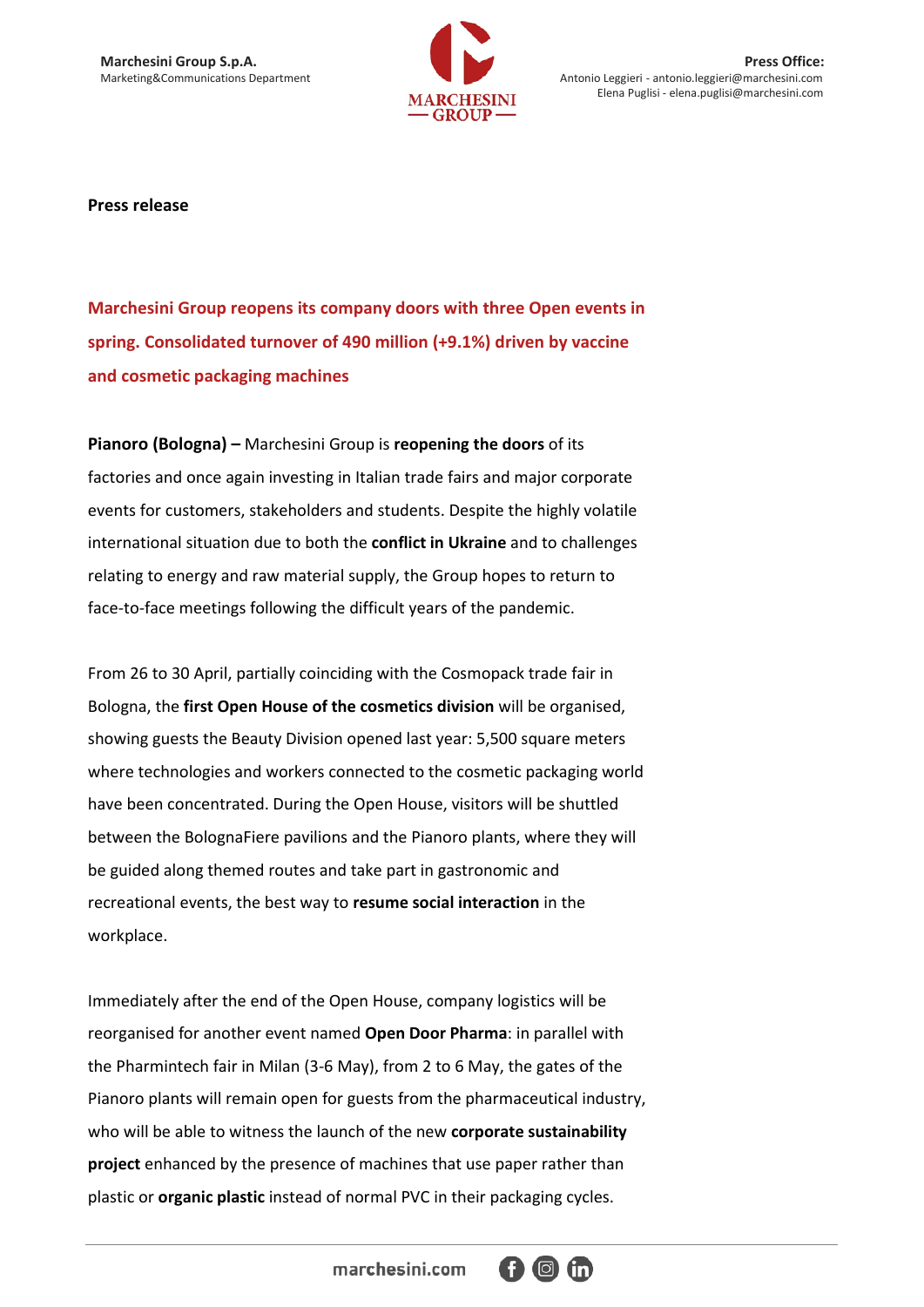

**Marchesini Group S.p.A.** Press Office:<br>
Marketing&Communications Department Marketing&Communications Department Antonio Leggieri - antonio Leggieri entonio.leggieri@marchesini.com Antonio Leggieri - antonio.leggieri@marchesini.com Elena Puglisi - elena.puglisi@marchesini.com

**Press release**

**Marchesini Group reopens its company doors with three Open events in spring. Consolidated turnover of 490 million (+9.1%) driven by vaccine and cosmetic packaging machines**

**Pianoro (Bologna) –** Marchesini Group is **reopening the doors** of its factories and once again investing in Italian trade fairs and major corporate events for customers, stakeholders and students. Despite the highly volatile international situation due to both the **conflict in Ukraine** and to challenges relating to energy and raw material supply, the Group hopes to return to face-to-face meetings following the difficult years of the pandemic.

From 26 to 30 April, partially coinciding with the Cosmopack trade fair in Bologna, the **first Open House of the cosmetics division** will be organised, showing guests the Beauty Division opened last year: 5,500 square meters where technologies and workers connected to the cosmetic packaging world have been concentrated. During the Open House, visitors will be shuttled between the BolognaFiere pavilions and the Pianoro plants, where they will be guided along themed routes and take part in gastronomic and recreational events, the best way to **resume social interaction** in the workplace.

Immediately after the end of the Open House, company logistics will be reorganised for another event named **Open Door Pharma**: in parallel with the Pharmintech fair in Milan (3-6 May), from 2 to 6 May, the gates of the Pianoro plants will remain open for guests from the pharmaceutical industry, who will be able to witness the launch of the new **corporate sustainability project** enhanced by the presence of machines that use paper rather than plastic or **organic plastic** instead of normal PVC in their packaging cycles.

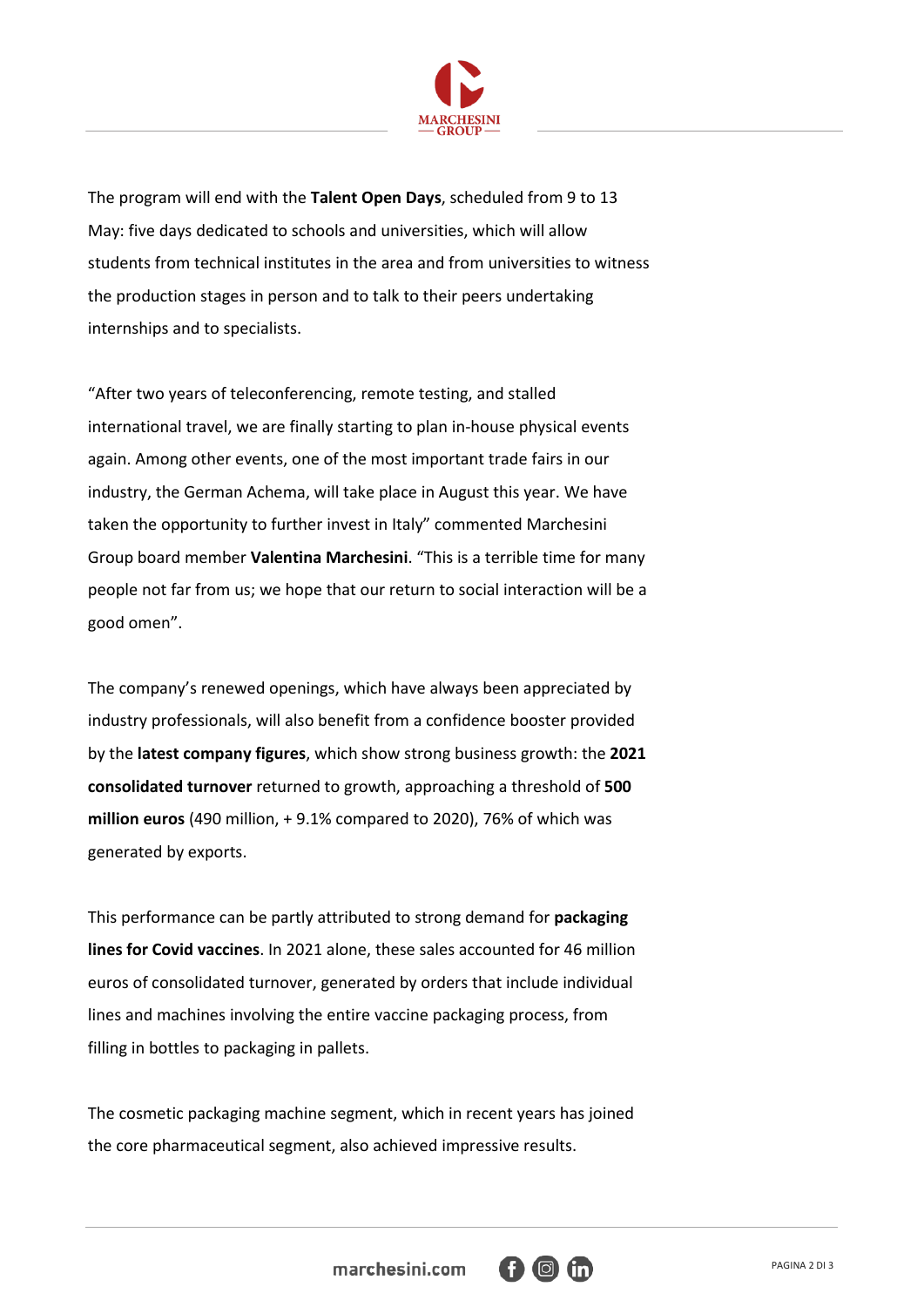

The program will end with the **Talent Open Days**, scheduled from 9 to 13 May: five days dedicated to schools and universities, which will allow students from technical institutes in the area and from universities to witness the production stages in person and to talk to their peers undertaking internships and to specialists.

"After two years of teleconferencing, remote testing, and stalled international travel, we are finally starting to plan in-house physical events again. Among other events, one of the most important trade fairs in our industry, the German Achema, will take place in August this year. We have taken the opportunity to further invest in Italy" commented Marchesini Group board member **Valentina Marchesini**. "This is a terrible time for many people not far from us; we hope that our return to social interaction will be a good omen".

The company's renewed openings, which have always been appreciated by industry professionals, will also benefit from a confidence booster provided by the **latest company figures**, which show strong business growth: the **2021 consolidated turnover** returned to growth, approaching a threshold of **500 million euros** (490 million, + 9.1% compared to 2020), 76% of which was generated by exports.

This performance can be partly attributed to strong demand for **packaging lines for Covid vaccines**. In 2021 alone, these sales accounted for 46 million euros of consolidated turnover, generated by orders that include individual lines and machines involving the entire vaccine packaging process, from filling in bottles to packaging in pallets.

The cosmetic packaging machine segment, which in recent years has joined the core pharmaceutical segment, also achieved impressive results.